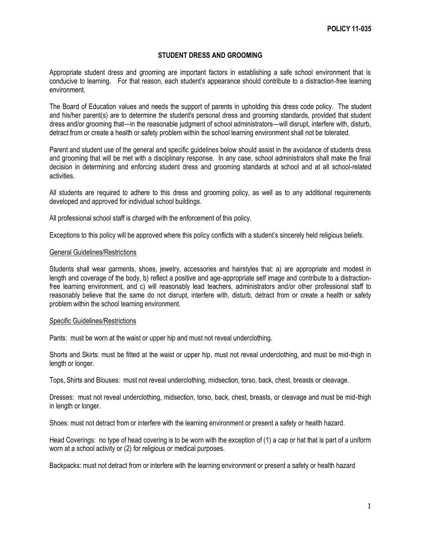# **STUDENT DRESS AND GROOMING**

Appropriate student dress and grooming are important factors in establishing a safe school environment that is conducive to learning. For that reason, each student's appearance should contribute to a distraction-free learning environment.

The Board of Education values and needs the support of parents in upholding this dress code policy. The student and his/her parent(s) are to determine the student's personal dress and grooming standards, provided that student dress and/or grooming that—in the reasonable judgment of school administrators—will disrupt, interfere with, disturb, detract from or create a health or safety problem within the school learning environment shall not be tolerated.

Parent and student use of the general and specific guidelines below should assist in the avoidance of students dress and grooming that will be met with a disciplinary response. In any case, school administrators shall make the final decision in determining and enforcing student dress and grooming standards at school and at all school-related activities.

All students are required to adhere to this dress and grooming policy, as well as to any additional requirements developed and approved for individual school buildings.

All professional school staff is charged with the enforcement of this policy.

Exceptions to this policy will be approved where this policy conflicts with a student's sincerely held religious beliefs.

### General Guidelines/Restrictions

Students shall wear garments, shoes, jewelry, accessories and hairstyles that: a) are appropriate and modest in length and coverage of the body, b) reflect a positive and age-appropriate self image and contribute to a distractionfree learning environment, and c) will reasonably lead teachers, administrators and/or other professional staff to reasonably believe that the same do not disrupt, interfere with, disturb, detract from or create a health or safety problem within the school learning environment.

### Specific Guidelines/Restrictions

Pants: must be worn at the waist or upper hip and must not reveal underclothing.

Shorts and Skirts: must be fitted at the waist or upper hip, must not reveal underclothing, and must be mid-thigh in length or longer.

Tops, Shirts and Blouses: must not reveal underclothing, midsection, torso, back, chest, breasts or cleavage.

Dresses: must not reveal underclothing, midsection, torso, back, chest, breasts, or cleavage and must be mid-thigh in length or longer.

Shoes: must not detract from or interfere with the learning environment or present a safety or health hazard.

Head Coverings: no type of head covering is to be worn with the exception of (1) a cap or hat that is part of a uniform worn at a school activity or (2) for religious or medical purposes.

Backpacks: must not detract from or interfere with the learning environment or present a safety or health hazard